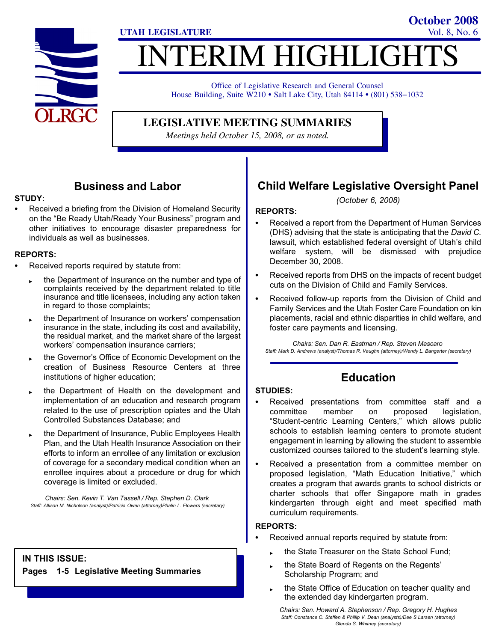

# ITERIM HIGHLIGHT **UTAH LEGISLATURE** Vol. 8, No. 6

Office of Legislative Research and General Counsel House Building, Suite W210 · Salt Lake City, Utah 84114 · (801) 538-1032

**LEGISLATIVE MEETING SUMMARIES**

*Meetings held October 15, 2008, or as noted.*

### Business and Labor

#### STUDY:

- Received a briefing from the Division of Homeland Security on the "Be Ready Utah/Ready Your Business" program and other initiatives to encourage disaster preparedness for individuals as well as businesses.

### REPORTS:

- - Received reports required by statute from:
	- the Department of Insurance on the number and type of complaints received by the department related to title insurance and title licensees, including any action taken in regard to those complaints;
	- the Department of Insurance on workers' compensation insurance in the state, including its cost and availability, the residual market, and the market share of the largest workers' compensation insurance carriers;
	- the Governor's Office of Economic Development on the creation of Business Resource Centers at three institutions of higher education;
	- the Department of Health on the development and implementation of an education and research program related to the use of prescription opiates and the Utah Controlled Substances Database; and
	- the Department of Insurance, Public Employees Health Plan, and the Utah Health Insurance Association on their efforts to inform an enrollee of any limitation or exclusion of coverage for a secondary medical condition when an enrollee inquires about a procedure or drug for which coverage is limited or excluded.

Chairs: Sen. Kevin T. Van Tassell / Rep. Stephen D. Clark Staff: Allison M. Nicholson (analyst)/Patricia Owen (attorney)Phalin L. Flowers (secretary)

### IN THIS ISSUE:

Pages 1−5 Legislative Meeting Summaries

# Child Welfare Legislative Oversight Panel

**October 2008**

(October 6, 2008)

### REPORTS:

- - Received a report from the Department of Human Services (DHS) advising that the state is anticipating that the David C. lawsuit, which established federal oversight of Utah's child welfare system, will be dismissed with prejudice December 30, 2008.
- - Received reports from DHS on the impacts of recent budget cuts on the Division of Child and Family Services.
- - Received follow−up reports from the Division of Child and Family Services and the Utah Foster Care Foundation on kin placements, racial and ethnic disparities in child welfare, and foster care payments and licensing.

Chairs: Sen. Dan R. Eastman / Rep. Steven Mascaro Staff: Mark D. Andrews (analyst)/Thomas R. Vaughn (attorney)/Wendy L. Bangerter (secretary)

# Education

#### STUDIES:

- - Received presentations from committee staff and a committee member on proposed legislation, -Student−centric Learning Centers," which allows public schools to establish learning centers to promote student engagement in learning by allowing the student to assemble customized courses tailored to the student's learning style.
- - Received a presentation from a committee member on proposed legislation, "Math Education Initiative," which creates a program that awards grants to school districts or charter schools that offer Singapore math in grades kindergarten through eight and meet specified math curriculum requirements.

#### REPORTS:

- - Received annual reports required by statute from:
	- the State Treasurer on the State School Fund;
	- the State Board of Regents on the Regents' Scholarship Program; and
	- the State Office of Education on teacher quality and the extended day kindergarten program.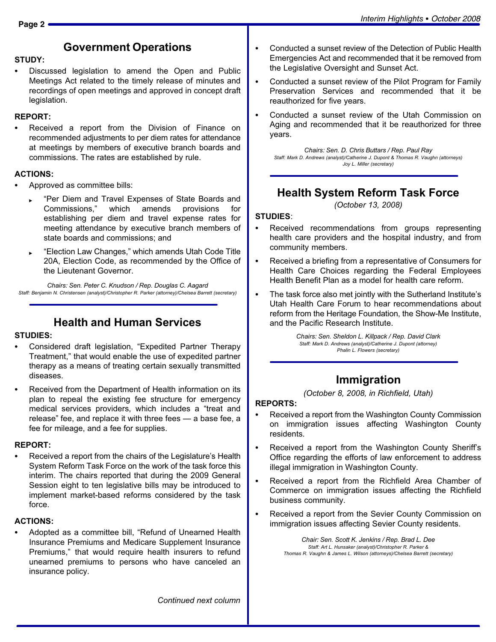### Government Operations

#### STUDY:

- Discussed legislation to amend the Open and Public Meetings Act related to the timely release of minutes and recordings of open meetings and approved in concept draft legislation.

#### REPORT:

- Received a report from the Division of Finance on recommended adjustments to per diem rates for attendance at meetings by members of executive branch boards and commissions. The rates are established by rule.

#### ACTIONS:

- - Approved as committee bills:
	- -Per Diem and Travel Expenses of State Boards and Commissions," which amends provisions for establishing per diem and travel expense rates for meeting attendance by executive branch members of state boards and commissions; and
	- -Election Law Changes," which amends Utah Code Title 20A, Election Code, as recommended by the Office of the Lieutenant Governor.

Chairs: Sen. Peter C. Knudson / Rep. Douglas C. Aagard Staff: Benjamin N. Christensen (analyst)/Christopher R. Parker (attorney)/Chelsea Barrett (secretary)

### Health and Human Services

#### STUDIES:

- -• Considered draft legislation, "Expedited Partner Therapy Treatment," that would enable the use of expedited partner therapy as a means of treating certain sexually transmitted diseases.
- - Received from the Department of Health information on its plan to repeal the existing fee structure for emergency medical services providers, which includes a "treat and release" fee, and replace it with three fees  $-$  a base fee, a fee for mileage, and a fee for supplies.

#### REPORT:

- Received a report from the chairs of the Legislature's Health System Reform Task Force on the work of the task force this interim. The chairs reported that during the 2009 General Session eight to ten legislative bills may be introduced to implement market−based reforms considered by the task force.

### ACTIONS:

-• Adopted as a committee bill, "Refund of Unearned Health Insurance Premiums and Medicare Supplement Insurance Premiums," that would require health insurers to refund unearned premiums to persons who have canceled an insurance policy.

- - Conducted a sunset review of the Detection of Public Health Emergencies Act and recommended that it be removed from the Legislative Oversight and Sunset Act.
- - Conducted a sunset review of the Pilot Program for Family Preservation Services and recommended that it be reauthorized for five years.
- - Conducted a sunset review of the Utah Commission on Aging and recommended that it be reauthorized for three years.

Chairs: Sen. D. Chris Buttars / Rep. Paul Ray Staff: Mark D. Andrews (analyst)/Catherine J. Dupont & Thomas R. Vaughn (attorneys) Joy L. Miller (secretary)

# Health System Reform Task Force

(October 13, 2008)

### STUDIES:

- $\bullet$  Received recommendations from groups representing health care providers and the hospital industry, and from community members.
- - Received a briefing from a representative of Consumers for Health Care Choices regarding the Federal Employees Health Benefit Plan as a model for health care reform.
- - The task force also met jointly with the Sutherland Institute's Utah Health Care Forum to hear recommendations about reform from the Heritage Foundation, the Show−Me Institute, and the Pacific Research Institute.

Chairs: Sen. Sheldon L. Killpack / Rep. David Clark Staff: Mark D. Andrews (analyst)/Catherine J. Dupont (attorney) Phalin L. Flowers (secretary)

# Immigration

(October 8, 2008, in Richfield, Utah)

### REPORTS:

- - Received a report from the Washington County Commission on immigration issues affecting Washington County residents.
- - Received a report from the Washington County Sheriff's Office regarding the efforts of law enforcement to address illegal immigration in Washington County.
- - Received a report from the Richfield Area Chamber of Commerce on immigration issues affecting the Richfield business community.
- - Received a report from the Sevier County Commission on immigration issues affecting Sevier County residents.

Chair: Sen. Scott K. Jenkins / Rep. Brad L. Dee Staff: Art L. Hunsaker (analyst)/Christopher R. Parker & Thomas R. Vaughn & James L. Wilson (attorneys)/Chelsea Barrett (secretary)

Continued next column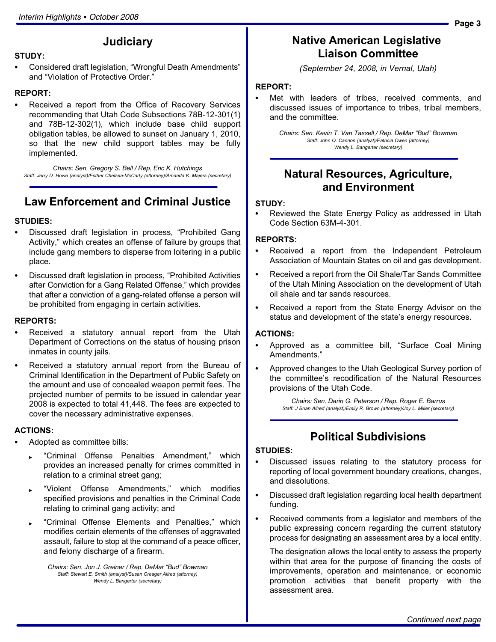# **Judiciary**

#### STUDY:

-• Considered draft legislation, "Wrongful Death Amendments" and "Violation of Protective Order."

#### REPORT:

- Received a report from the Office of Recovery Services recommending that Utah Code Subsections 78B−12−301(1) and 78B−12−302(1), which include base child support obligation tables, be allowed to sunset on January 1, 2010, so that the new child support tables may be fully implemented.

Chairs: Sen. Gregory S. Bell / Rep. Eric K. Hutchings Staff: Jerry D. Howe (analyst)/Esther Chelsea−McCarty (attorney)/Amanda K. Majers (secretary)

# Law Enforcement and Criminal Justice

#### STUDIES:

- -• Discussed draft legislation in process, "Prohibited Gang Activity," which creates an offense of failure by groups that include gang members to disperse from loitering in a public place.
- -• Discussed draft legislation in process, "Prohibited Activities after Conviction for a Gang Related Offense," which provides that after a conviction of a gang−related offense a person will be prohibited from engaging in certain activities.

#### REPORTS:

- - Received a statutory annual report from the Utah Department of Corrections on the status of housing prison inmates in county jails.
- - Received a statutory annual report from the Bureau of Criminal Identification in the Department of Public Safety on the amount and use of concealed weapon permit fees. The projected number of permits to be issued in calendar year 2008 is expected to total 41,448. The fees are expected to cover the necessary administrative expenses.

#### ACTIONS:

- - Adopted as committee bills:
	- -Criminal Offense Penalties Amendment," which provides an increased penalty for crimes committed in relation to a criminal street gang;
	- -Violent Offense Amendments," which modifies specified provisions and penalties in the Criminal Code relating to criminal gang activity; and
	- -Criminal Offense Elements and Penalties," which modifies certain elements of the offenses of aggravated assault, failure to stop at the command of a peace officer, and felony discharge of a firearm.

Chairs: Sen. Jon J. Greiner / Rep. DeMar "Bud" Bowman Staff: Stewart E. Smith (analyst)/Susan Creager Allred (attorney) Wendy L. Bangerter (secretary)

# Native American Legislative Liaison Committee

(September 24, 2008, in Vernal, Utah)

#### REPORT:

- Met with leaders of tribes, received comments, and discussed issues of importance to tribes, tribal members, and the committee.

> Chairs: Sen. Kevin T. Van Tassell / Rep. DeMar "Bud" Bowman Staff: John Q. Cannon (analyst)/Patricia Owen (attorney) Wendy L. Bangerter (secretary)

### Natural Resources, Agriculture, and Environment

#### STUDY:

- Reviewed the State Energy Policy as addressed in Utah Code Section 63M−4−301.

#### REPORTS:

- - Received a report from the Independent Petroleum Association of Mountain States on oil and gas development.
- - Received a report from the Oil Shale/Tar Sands Committee of the Utah Mining Association on the development of Utah oil shale and tar sands resources.
- - Received a report from the State Energy Advisor on the status and development of the state's energy resources.

#### ACTIONS:

- -• Approved as a committee bill, "Surface Coal Mining Amendments."
- - Approved changes to the Utah Geological Survey portion of the committee's recodification of the Natural Resources provisions of the Utah Code.

Chairs: Sen. Darin G. Peterson / Rep. Roger E. Barrus Staff: J Brian Allred (analyst)/Emily R. Brown (attorney)/Joy L. Miller (secretary)

### Political Subdivisions

#### STUDIES:

- - Discussed issues relating to the statutory process for reporting of local government boundary creations, changes, and dissolutions.
- - Discussed draft legislation regarding local health department funding.
- - Received comments from a legislator and members of the public expressing concern regarding the current statutory process for designating an assessment area by a local entity.

The designation allows the local entity to assess the property within that area for the purpose of financing the costs of improvements, operation and maintenance, or economic promotion activities that benefit property with the assessment area.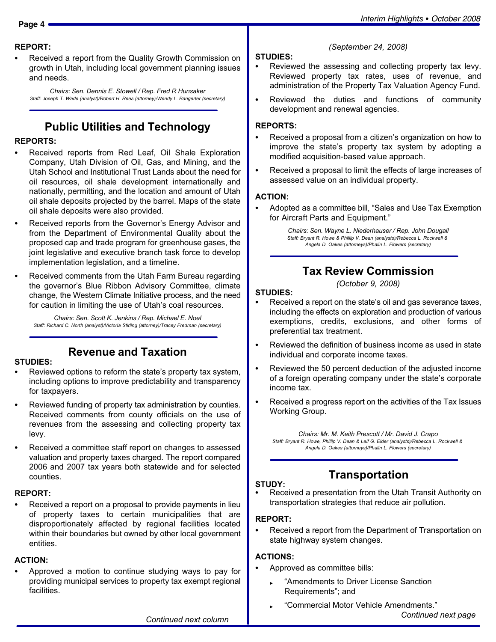#### REPORT:

- Received a report from the Quality Growth Commission on growth in Utah, including local government planning issues and needs.

Chairs: Sen. Dennis E. Stowell / Rep. Fred R Hunsaker Staff: Joseph T. Wade (analyst)/Robert H. Rees (attorney)/Wendy L. Bangerter (secretary)

# Public Utilities and Technology

#### REPORTS:

- - Received reports from Red Leaf, Oil Shale Exploration Company, Utah Division of Oil, Gas, and Mining, and the Utah School and Institutional Trust Lands about the need for oil resources, oil shale development internationally and nationally, permitting, and the location and amount of Utah oil shale deposits projected by the barrel. Maps of the state oil shale deposits were also provided.
- - Received reports from the Governor's Energy Advisor and from the Department of Environmental Quality about the proposed cap and trade program for greenhouse gases, the joint legislative and executive branch task force to develop implementation legislation, and a timeline.
- - Received comments from the Utah Farm Bureau regarding the governor's Blue Ribbon Advisory Committee, climate change, the Western Climate Initiative process, and the need for caution in limiting the use of Utah's coal resources.

Chairs: Sen. Scott K. Jenkins / Rep. Michael E. Noel Staff: Richard C. North (analyst)/Victoria Stirling (attorney)/Tracey Fredman (secretary)

# Revenue and Taxation

#### STUDIES:

- - Reviewed options to reform the state's property tax system, including options to improve predictability and transparency for taxpayers.
- - Reviewed funding of property tax administration by counties. Received comments from county officials on the use of revenues from the assessing and collecting property tax levy.
- - Received a committee staff report on changes to assessed valuation and property taxes charged. The report compared 2006 and 2007 tax years both statewide and for selected counties.

#### REPORT:

- Received a report on a proposal to provide payments in lieu of property taxes to certain municipalities that are disproportionately affected by regional facilities located within their boundaries but owned by other local government entities.

#### ACTION:

- Approved a motion to continue studying ways to pay for providing municipal services to property tax exempt regional facilities.

### (September 24, 2008)

### STUDIES:

- - Reviewed the assessing and collecting property tax levy. Reviewed property tax rates, uses of revenue, and administration of the Property Tax Valuation Agency Fund.
- $\bullet$  Reviewed the duties and functions of community development and renewal agencies.

#### REPORTS:

- - Received a proposal from a citizen's organization on how to improve the state's property tax system by adopting a modified acquisition−based value approach.
- - Received a proposal to limit the effects of large increases of assessed value on an individual property.

#### ACTION:

-• Adopted as a committee bill, "Sales and Use Tax Exemption for Aircraft Parts and Equipment."

> Chairs: Sen. Wayne L. Niederhauser / Rep. John Dougall Staff: Bryant R. Howe & Phillip V. Dean (analysts)/Rebecca L. Rockwell & Angela D. Oakes (attorneys)/Phalin L. Flowers (secretary)

### Tax Review Commission

(October 9, 2008)

#### STUDIES:

- - Received a report on the state's oil and gas severance taxes, including the effects on exploration and production of various exemptions, credits, exclusions, and other forms of preferential tax treatment.
- - Reviewed the definition of business income as used in state individual and corporate income taxes.
- - Reviewed the 50 percent deduction of the adjusted income of a foreign operating company under the state's corporate income tax.
- - Received a progress report on the activities of the Tax Issues Working Group.

Chairs: Mr. M. Keith Prescott / Mr. David J. Crapo Staff: Bryant R. Howe, Phillip V. Dean & Leif G. Elder (analysts)/Rebecca L. Rockwell & Angela D. Oakes (attorneys)/Phalin L. Flowers (secretary)

# Transportation

#### STUDY:

- Received a presentation from the Utah Transit Authority on transportation strategies that reduce air pollution.

### REPORT:

- Received a report from the Department of Transportation on state highway system changes.

#### ACTIONS:

- - Approved as committee bills:
	- -Amendments to Driver License Sanction Requirements"; and
	- -Commercial Motor Vehicle Amendments." Continued next page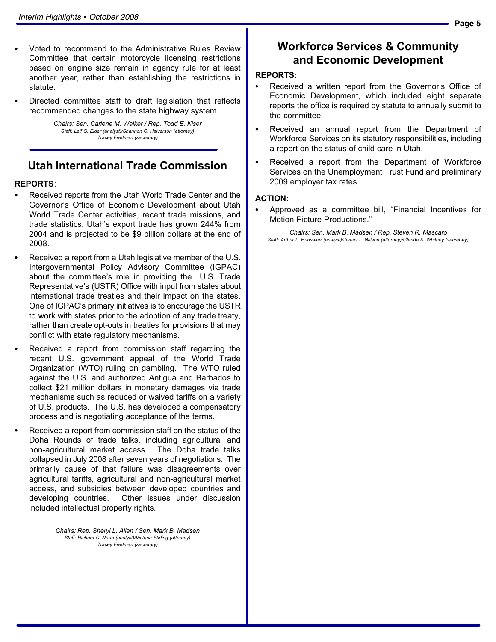- - Voted to recommend to the Administrative Rules Review Committee that certain motorcycle licensing restrictions based on engine size remain in agency rule for at least another year, rather than establishing the restrictions in statute.
- - Directed committee staff to draft legislation that reflects recommended changes to the state highway system.

Chairs: Sen. Carlene M. Walker / Rep. Todd E. Kiser Staff: Leif G. Elder (analyst)/Shannon C. Halverson (attorney) Tracey Fredman (secretary)

### Utah International Trade Commission

#### REPORTS:

- - Received reports from the Utah World Trade Center and the Governor's Office of Economic Development about Utah World Trade Center activities, recent trade missions, and trade statistics. Utah's export trade has grown 244% from 2004 and is projected to be \$9 billion dollars at the end of 2008.
- - Received a report from a Utah legislative member of the U.S. Intergovernmental Policy Advisory Committee (IGPAC) about the committee's role in providing the U.S. Trade Representative's (USTR) Office with input from states about international trade treaties and their impact on the states. One of IGPAC's primary initiatives is to encourage the USTR to work with states prior to the adoption of any trade treaty, rather than create opt−outs in treaties for provisions that may conflict with state regulatory mechanisms.
- - Received a report from commission staff regarding the recent U.S. government appeal of the World Trade Organization (WTO) ruling on gambling. The WTO ruled against the U.S. and authorized Antigua and Barbados to collect \$21 million dollars in monetary damages via trade mechanisms such as reduced or waived tariffs on a variety of U.S. products. The U.S. has developed a compensatory process and is negotiating acceptance of the terms.
- - Received a report from commission staff on the status of the Doha Rounds of trade talks, including agricultural and non−agricultural market access. The Doha trade talks collapsed in July 2008 after seven years of negotiations. The primarily cause of that failure was disagreements over agricultural tariffs, agricultural and non−agricultural market access, and subsidies between developed countries and developing countries. Other issues under discussion included intellectual property rights.

Chairs: Rep. Sheryl L. Allen / Sen. Mark B. Madsen Staff: Richard C. North (analyst)/Victoria Stirling (attorney) Tracey Fredman (secretary)

### Workforce Services & Community and Economic Development

#### REPORTS:

- - Received a written report from the Governor's Office of Economic Development, which included eight separate reports the office is required by statute to annually submit to the committee.
- - Received an annual report from the Department of Workforce Services on its statutory responsibilities, including a report on the status of child care in Utah.
- - Received a report from the Department of Workforce Services on the Unemployment Trust Fund and preliminary 2009 employer tax rates.

#### ACTION:

-

• Approved as a committee bill, "Financial Incentives for Motion Picture Productions."

Chairs: Sen. Mark B. Madsen / Rep. Steven R. Mascaro Staff: Arthur L. Hunsaker (analyst)/James L. Wilson (attorney)/Glenda S. Whitney (secretary)